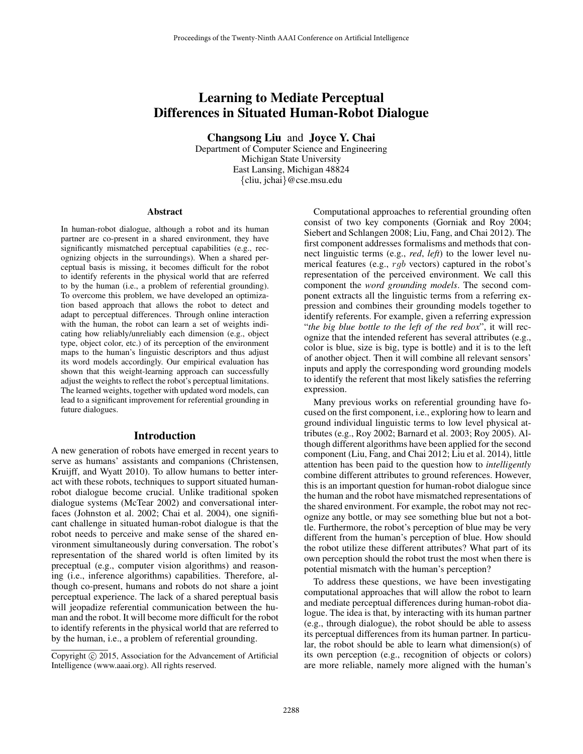# Learning to Mediate Perceptual Differences in Situated Human-Robot Dialogue

Changsong Liu and Joyce Y. Chai

Department of Computer Science and Engineering Michigan State University East Lansing, Michigan 48824 {cliu, jchai}@cse.msu.edu

#### Abstract

In human-robot dialogue, although a robot and its human partner are co-present in a shared environment, they have significantly mismatched perceptual capabilities (e.g., recognizing objects in the surroundings). When a shared perceptual basis is missing, it becomes difficult for the robot to identify referents in the physical world that are referred to by the human (i.e., a problem of referential grounding). To overcome this problem, we have developed an optimization based approach that allows the robot to detect and adapt to perceptual differences. Through online interaction with the human, the robot can learn a set of weights indicating how reliably/unreliably each dimension (e.g., object type, object color, etc.) of its perception of the environment maps to the human's linguistic descriptors and thus adjust its word models accordingly. Our empirical evaluation has shown that this weight-learning approach can successfully adjust the weights to reflect the robot's perceptual limitations. The learned weights, together with updated word models, can lead to a significant improvement for referential grounding in future dialogues.

#### Introduction

A new generation of robots have emerged in recent years to serve as humans' assistants and companions (Christensen, Kruijff, and Wyatt 2010). To allow humans to better interact with these robots, techniques to support situated humanrobot dialogue become crucial. Unlike traditional spoken dialogue systems (McTear 2002) and conversational interfaces (Johnston et al. 2002; Chai et al. 2004), one significant challenge in situated human-robot dialogue is that the robot needs to perceive and make sense of the shared environment simultaneously during conversation. The robot's representation of the shared world is often limited by its preceptual (e.g., computer vision algorithms) and reasoning (i.e., inference algorithms) capabilities. Therefore, although co-present, humans and robots do not share a joint perceptual experience. The lack of a shared pereptual basis will jeopadize referential communication between the human and the robot. It will become more difficult for the robot to identify referents in the physical world that are referred to by the human, i.e., a problem of referential grounding.

Computational approaches to referential grounding often consist of two key components (Gorniak and Roy 2004; Siebert and Schlangen 2008; Liu, Fang, and Chai 2012). The first component addresses formalisms and methods that connect linguistic terms (e.g., *red*, *left*) to the lower level numerical features (e.g., rgb vectors) captured in the robot's representation of the perceived environment. We call this component the *word grounding models*. The second component extracts all the linguistic terms from a referring expression and combines their grounding models together to identify referents. For example, given a referring expression "*the big blue bottle to the left of the red box*", it will recognize that the intended referent has several attributes (e.g., color is blue, size is big, type is bottle) and it is to the left of another object. Then it will combine all relevant sensors' inputs and apply the corresponding word grounding models to identify the referent that most likely satisfies the referring expression.

Many previous works on referential grounding have focused on the first component, i.e., exploring how to learn and ground individual linguistic terms to low level physical attributes (e.g., Roy 2002; Barnard et al. 2003; Roy 2005). Although different algorithms have been applied for the second component (Liu, Fang, and Chai 2012; Liu et al. 2014), little attention has been paid to the question how to *intelligently* combine different attributes to ground references. However, this is an important question for human-robot dialogue since the human and the robot have mismatched representations of the shared environment. For example, the robot may not recognize any bottle, or may see something blue but not a bottle. Furthermore, the robot's perception of blue may be very different from the human's perception of blue. How should the robot utilize these different attributes? What part of its own perception should the robot trust the most when there is potential mismatch with the human's perception?

To address these questions, we have been investigating computational approaches that will allow the robot to learn and mediate perceptual differences during human-robot dialogue. The idea is that, by interacting with its human partner (e.g., through dialogue), the robot should be able to assess its perceptual differences from its human partner. In particular, the robot should be able to learn what dimension(s) of its own perception (e.g., recognition of objects or colors) are more reliable, namely more aligned with the human's

Copyright (c) 2015, Association for the Advancement of Artificial Intelligence (www.aaai.org). All rights reserved.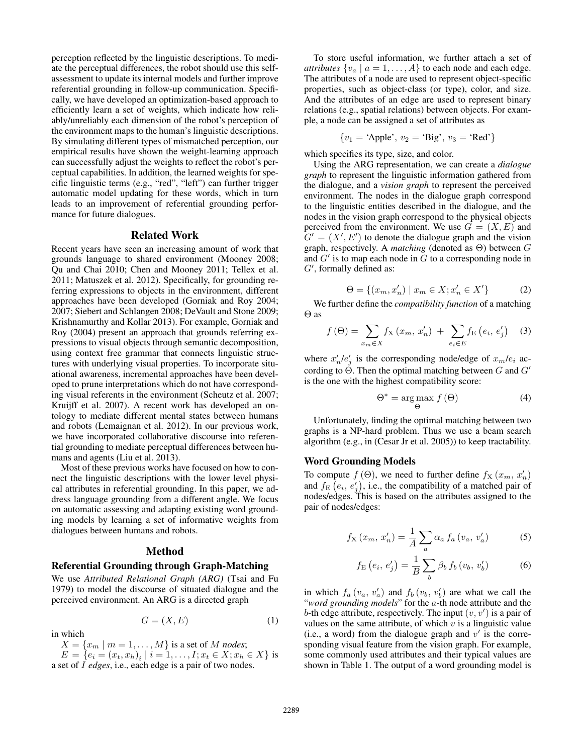perception reflected by the linguistic descriptions. To mediate the perceptual differences, the robot should use this selfassessment to update its internal models and further improve referential grounding in follow-up communication. Specifically, we have developed an optimization-based approach to efficiently learn a set of weights, which indicate how reliably/unreliably each dimension of the robot's perception of the environment maps to the human's linguistic descriptions. By simulating different types of mismatched perception, our empirical results have shown the weight-learning approach can successfully adjust the weights to reflect the robot's perceptual capabilities. In addition, the learned weights for specific linguistic terms (e.g., "red", "left") can further trigger automatic model updating for these words, which in turn leads to an improvement of referential grounding performance for future dialogues.

#### Related Work

Recent years have seen an increasing amount of work that grounds language to shared environment (Mooney 2008; Qu and Chai 2010; Chen and Mooney 2011; Tellex et al. 2011; Matuszek et al. 2012). Specifically, for grounding referring expressions to objects in the environment, different approaches have been developed (Gorniak and Roy 2004; 2007; Siebert and Schlangen 2008; DeVault and Stone 2009; Krishnamurthy and Kollar 2013). For example, Gorniak and Roy (2004) present an approach that grounds referring expressions to visual objects through semantic decomposition, using context free grammar that connects linguistic structures with underlying visual properties. To incorporate situational awareness, incremental approaches have been developed to prune interpretations which do not have corresponding visual referents in the environment (Scheutz et al. 2007; Kruijff et al. 2007). A recent work has developed an ontology to mediate different mental states between humans and robots (Lemaignan et al. 2012). In our previous work, we have incorporated collaborative discourse into referential grounding to mediate perceptual differences between humans and agents (Liu et al. 2013).

Most of these previous works have focused on how to connect the linguistic descriptions with the lower level physical attributes in referential grounding. In this paper, we address language grounding from a different angle. We focus on automatic assessing and adapting existing word grounding models by learning a set of informative weights from dialogues between humans and robots.

## Method

## Referential Grounding through Graph-Matching

We use *Attributed Relational Graph (ARG)* (Tsai and Fu 1979) to model the discourse of situated dialogue and the perceived environment. An ARG is a directed graph

$$
G = (X, E) \tag{1}
$$

in which

 $X = \{x_m \mid m = 1, \ldots, M\}$  is a set of M *nodes*;  $E = \{e_i = (x_t, x_h)_i \mid i = 1, \dots, I; x_t \in X; x_h \in X\}$  is a set of I *edges*, i.e., each edge is a pair of two nodes.

To store useful information, we further attach a set of *attributes*  $\{v_a \mid a = 1, \ldots, A\}$  to each node and each edge. The attributes of a node are used to represent object-specific properties, such as object-class (or type), color, and size. And the attributes of an edge are used to represent binary relations (e.g., spatial relations) between objects. For example, a node can be assigned a set of attributes as

$$
\{v_1 = 'Apple', v_2 = 'Big', v_3 = 'Red'\}
$$

which specifies its type, size, and color.

Using the ARG representation, we can create a *dialogue graph* to represent the linguistic information gathered from the dialogue, and a *vision graph* to represent the perceived environment. The nodes in the dialogue graph correspond to the linguistic entities described in the dialogue, and the nodes in the vision graph correspond to the physical objects perceived from the environment. We use  $G = (X, E)$  and  $G' = (X', E')$  to denote the dialogue graph and the vision graph, respectively. A *matching* (denoted as Θ) between G and  $G'$  is to map each node in  $\tilde{G}$  to a corresponding node in  $G'$ , formally defined as:

$$
\Theta = \{(x_m, x'_n) \mid x_m \in X; x'_n \in X'\}
$$
 (2)

We further define the *compatibility function* of a matching Θ as

$$
f(\Theta) = \sum_{x_m \in X} f_X(x_m, x'_n) + \sum_{e_i \in E} f_E(e_i, e'_j)
$$
 (3)

where  $x'_n/e'_j$  is the corresponding node/edge of  $x_m/e_i$  according to  $\Theta$ . Then the optimal matching between G and G' is the one with the highest compatibility score:

$$
\Theta^* = \underset{\Theta}{\arg\max} f(\Theta) \tag{4}
$$

Unfortunately, finding the optimal matching between two graphs is a NP-hard problem. Thus we use a beam search algorithm (e.g., in (Cesar Jr et al. 2005)) to keep tractability.

#### Word Grounding Models

To compute  $f(\Theta)$ , we need to further define  $f_{\rm X}(x_m, x'_n)$ and  $f_{\rm E}\left(e_i, e'_j\right)$ , i.e., the compatibility of a matched pair of nodes/edges. This is based on the attributes assigned to the pair of nodes/edges:

$$
f_{\mathcal{X}}\left(x_m, x'_n\right) = \frac{1}{A} \sum_a \alpha_a \, f_a\left(v_a, v'_a\right) \tag{5}
$$

$$
f_{\rm E}\left(e_i, e'_j\right) = \frac{1}{B} \sum_b \beta_b \, f_b\left(v_b, v'_b\right) \tag{6}
$$

in which  $f_a(v_a, v'_a)$  and  $f_b(v_b, v'_b)$  are what we call the "*word grounding models*" for the a-th node attribute and the b-th edge attribute, respectively. The input  $(v, v')$  is a pair of values on the same attribute, of which  $v$  is a linguistic value (i.e., a word) from the dialogue graph and  $v'$  is the corresponding visual feature from the vision graph. For example, some commonly used attributes and their typical values are shown in Table 1. The output of a word grounding model is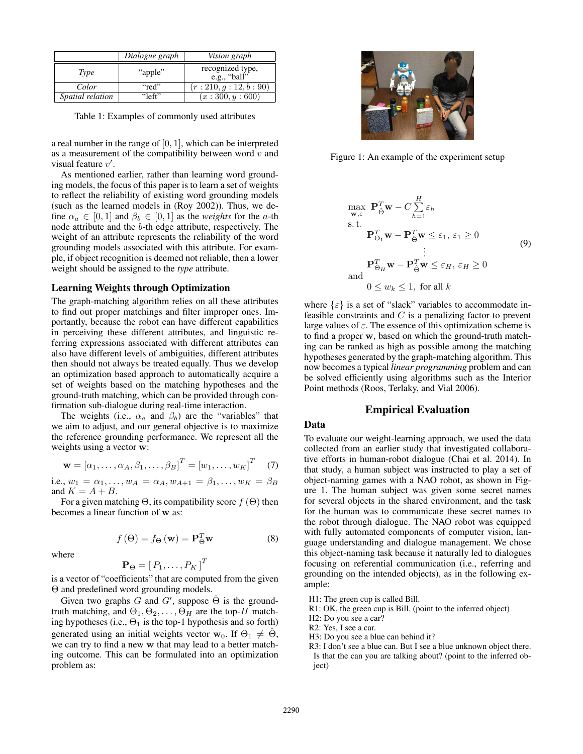|                         | Dialogue graph | <i>Vision graph</i>              |
|-------------------------|----------------|----------------------------------|
| Type                    | "apple"        | recognized type,<br>e.g., "ball" |
| Color                   | "red"          | (r: 210, g: 12, b: 90)           |
| <i>Spatial relation</i> | "left"         | (x:300, y:600)                   |

Table 1: Examples of commonly used attributes

a real number in the range of [0, 1], which can be interpreted as a measurement of the compatibility between word  $v$  and visual feature  $v'$ .

As mentioned earlier, rather than learning word grounding models, the focus of this paper is to learn a set of weights to reflect the reliability of existing word grounding models (such as the learned models in (Roy 2002)). Thus, we define  $\alpha_a \in [0, 1]$  and  $\beta_b \in [0, 1]$  as the *weights* for the *a*-th node attribute and the b-th edge attribute, respectively. The weight of an attribute represents the reliability of the word grounding models associated with this attribute. For example, if object recognition is deemed not reliable, then a lower weight should be assigned to the *type* attribute.

#### Learning Weights through Optimization

The graph-matching algorithm relies on all these attributes to find out proper matchings and filter improper ones. Importantly, because the robot can have different capabilities in perceiving these different attributes, and linguistic referring expressions associated with different attributes can also have different levels of ambiguities, different attributes then should not always be treated equally. Thus we develop an optimization based approach to automatically acquire a set of weights based on the matching hypotheses and the ground-truth matching, which can be provided through confirmation sub-dialogue during real-time interaction.

The weights (i.e.,  $\alpha_a$  and  $\beta_b$ ) are the "variables" that we aim to adjust, and our general objective is to maximize the reference grounding performance. We represent all the weights using a vector w:

$$
\mathbf{w} = [\alpha_1, \dots, \alpha_A, \beta_1, \dots, \beta_B]^T = [w_1, \dots, w_K]^T \quad (7)
$$

i.e.,  $w_1 = \alpha_1, ..., w_A = \alpha_A, w_{A+1} = \beta_1, ..., w_K = \beta_B$ and  $K = A + B$ .

For a given matching  $\Theta$ , its compatibility score  $f(\Theta)$  then becomes a linear function of w as:

 $f(\Theta) = f_{\Theta}(\mathbf{w}) = \mathbf{P}_{\Theta}^T \mathbf{w}$  (8)

where

$$
\mathbf{P}_{\Theta}=\left[\,P_1,\ldots,P_K\,\right]^T
$$

is a vector of "coefficients" that are computed from the given Θ and predefined word grounding models.

Given two graphs G and G', suppose  $\hat{\Theta}$  is the groundtruth matching, and  $\Theta_1, \Theta_2, \dots, \Theta_H$  are the top-H matching hypotheses (i.e.,  $\Theta_1$  is the top-1 hypothesis and so forth) generated using an initial weights vector  $w_0$ . If  $\Theta_1 \neq \hat{\Theta}$ , we can try to find a new w that may lead to a better matching outcome. This can be formulated into an optimization problem as:



Figure 1: An example of the experiment setup

$$
\max_{\mathbf{w}, \varepsilon} \mathbf{P}_{\hat{\Theta}}^T \mathbf{w} - C \sum_{h=1}^H \varepsilon_h
$$
\ns.t.  
\n
$$
\mathbf{P}_{\Theta_1}^T \mathbf{w} - \mathbf{P}_{\hat{\Theta}}^T \mathbf{w} \le \varepsilon_1, \varepsilon_1 \ge 0
$$
\n
$$
\vdots
$$
\n
$$
\mathbf{P}_{\Theta_H}^T \mathbf{w} - \mathbf{P}_{\hat{\Theta}}^T \mathbf{w} \le \varepsilon_H, \varepsilon_H \ge 0
$$
\nand  
\n
$$
0 \le w_k \le 1, \text{ for all } k
$$
\n(9)

where  $\{\varepsilon\}$  is a set of "slack" variables to accommodate infeasible constraints and  $C$  is a penalizing factor to prevent large values of  $\varepsilon$ . The essence of this optimization scheme is to find a proper w, based on which the ground-truth matching can be ranked as high as possible among the matching hypotheses generated by the graph-matching algorithm. This now becomes a typical *linear programming* problem and can be solved efficiently using algorithms such as the Interior Point methods (Roos, Terlaky, and Vial 2006).

#### Empirical Evaluation

#### Data

To evaluate our weight-learning approach, we used the data collected from an earlier study that investigated collaborative efforts in human-robot dialogue (Chai et al. 2014). In that study, a human subject was instructed to play a set of object-naming games with a NAO robot, as shown in Figure 1. The human subject was given some secret names for several objects in the shared environment, and the task for the human was to communicate these secret names to the robot through dialogue. The NAO robot was equipped with fully automated components of computer vision, language understanding and dialogue management. We chose this object-naming task because it naturally led to dialogues focusing on referential communication (i.e., referring and grounding on the intended objects), as in the following example:

H1: The green cup is called Bill.

R1: OK, the green cup is Bill. (point to the inferred object)

H2: Do you see a car?

- R2: Yes, I see a car.
- H3: Do you see a blue can behind it?
- R3: I don't see a blue can. But I see a blue unknown object there. Is that the can you are talking about? (point to the inferred object)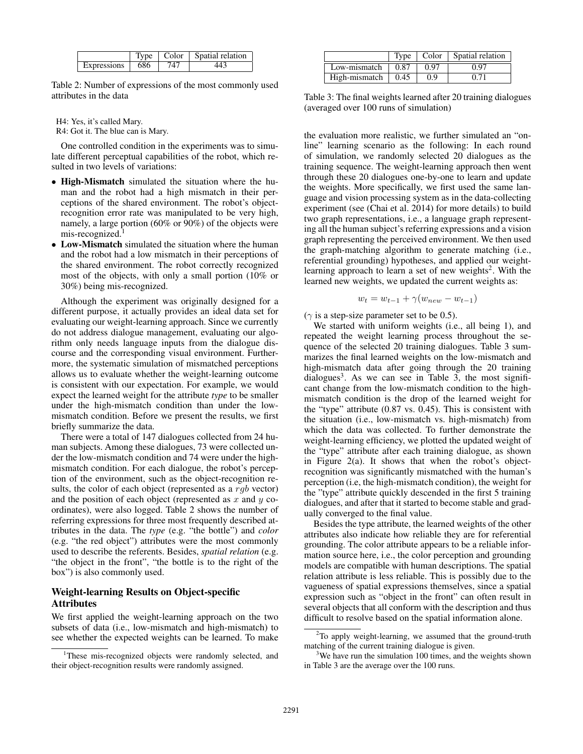|                    | I vne | Color | Spatial relation |
|--------------------|-------|-------|------------------|
| <b>Expressions</b> | 686   |       |                  |

Table 2: Number of expressions of the most commonly used attributes in the data

H4: Yes, it's called Mary. R4: Got it. The blue can is Mary.

One controlled condition in the experiments was to simulate different perceptual capabilities of the robot, which resulted in two levels of variations:

- High-Mismatch simulated the situation where the human and the robot had a high mismatch in their perceptions of the shared environment. The robot's objectrecognition error rate was manipulated to be very high, namely, a large portion (60% or 90%) of the objects were  $mis-recosnized.<sup>1</sup>$
- Low-Mismatch simulated the situation where the human and the robot had a low mismatch in their perceptions of the shared environment. The robot correctly recognized most of the objects, with only a small portion (10% or 30%) being mis-recognized.

Although the experiment was originally designed for a different purpose, it actually provides an ideal data set for evaluating our weight-learning approach. Since we currently do not address dialogue management, evaluating our algorithm only needs language inputs from the dialogue discourse and the corresponding visual environment. Furthermore, the systematic simulation of mismatched perceptions allows us to evaluate whether the weight-learning outcome is consistent with our expectation. For example, we would expect the learned weight for the attribute *type* to be smaller under the high-mismatch condition than under the lowmismatch condition. Before we present the results, we first briefly summarize the data.

There were a total of 147 dialogues collected from 24 human subjects. Among these dialogues, 73 were collected under the low-mismatch condition and 74 were under the highmismatch condition. For each dialogue, the robot's perception of the environment, such as the object-recognition results, the color of each object (represented as a  $rgb$  vector) and the position of each object (represented as  $x$  and  $y$  coordinates), were also logged. Table 2 shows the number of referring expressions for three most frequently described attributes in the data. The *type* (e.g. "the bottle") and *color* (e.g. "the red object") attributes were the most commonly used to describe the referents. Besides, *spatial relation* (e.g. "the object in the front", "the bottle is to the right of the box") is also commonly used.

## Weight-learning Results on Object-specific Attributes

We first applied the weight-learning approach on the two subsets of data (i.e., low-mismatch and high-mismatch) to see whether the expected weights can be learned. To make

|               | Type |      | Color   Spatial relation |
|---------------|------|------|--------------------------|
| Low-mismatch  | 0.87 | 0.97 | በ 97                     |
| High-mismatch | 0.45 | 0.9  |                          |

Table 3: The final weights learned after 20 training dialogues (averaged over 100 runs of simulation)

the evaluation more realistic, we further simulated an "online" learning scenario as the following: In each round of simulation, we randomly selected 20 dialogues as the training sequence. The weight-learning approach then went through these 20 dialogues one-by-one to learn and update the weights. More specifically, we first used the same language and vision processing system as in the data-collecting experiment (see (Chai et al. 2014) for more details) to build two graph representations, i.e., a language graph representing all the human subject's referring expressions and a vision graph representing the perceived environment. We then used the graph-matching algorithm to generate matching (i.e., referential grounding) hypotheses, and applied our weightlearning approach to learn a set of new weights<sup>2</sup>. With the learned new weights, we updated the current weights as:

$$
w_t = w_{t-1} + \gamma (w_{new} - w_{t-1})
$$

 $(\gamma$  is a step-size parameter set to be 0.5).

We started with uniform weights (i.e., all being 1), and repeated the weight learning process throughout the sequence of the selected 20 training dialogues. Table 3 summarizes the final learned weights on the low-mismatch and high-mismatch data after going through the 20 training dialogues<sup>3</sup>. As we can see in Table  $3$ , the most significant change from the low-mismatch condition to the highmismatch condition is the drop of the learned weight for the "type" attribute (0.87 vs. 0.45). This is consistent with the situation (i.e., low-mismatch vs. high-mismatch) from which the data was collected. To further demonstrate the weight-learning efficiency, we plotted the updated weight of the "type" attribute after each training dialogue, as shown in Figure 2(a). It shows that when the robot's objectrecognition was significantly mismatched with the human's perception (i.e, the high-mismatch condition), the weight for the "type" attribute quickly descended in the first 5 training dialogues, and after that it started to become stable and gradually converged to the final value.

Besides the type attribute, the learned weights of the other attributes also indicate how reliable they are for referential grounding. The color attribute appears to be a reliable information source here, i.e., the color perception and grounding models are compatible with human descriptions. The spatial relation attribute is less reliable. This is possibly due to the vagueness of spatial expressions themselves, since a spatial expression such as "object in the front" can often result in several objects that all conform with the description and thus difficult to resolve based on the spatial information alone.

<sup>&</sup>lt;sup>1</sup>These mis-recognized objects were randomly selected, and their object-recognition results were randomly assigned.

 $2$ To apply weight-learning, we assumed that the ground-truth matching of the current training dialogue is given.

<sup>&</sup>lt;sup>3</sup>We have run the simulation 100 times, and the weights shown in Table 3 are the average over the 100 runs.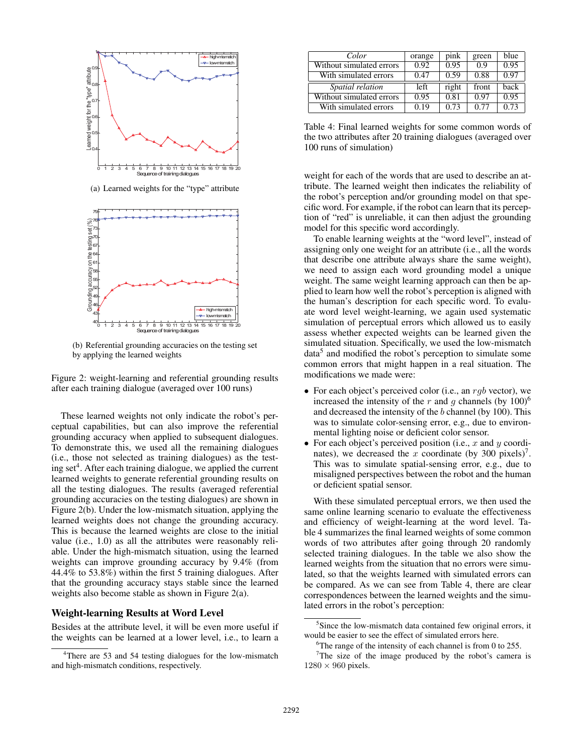

(a) Learned weights for the "type" attribute



(b) Referential grounding accuracies on the testing set by applying the learned weights

Figure 2: weight-learning and referential grounding results after each training dialogue (averaged over 100 runs)

These learned weights not only indicate the robot's perceptual capabilities, but can also improve the referential grounding accuracy when applied to subsequent dialogues. To demonstrate this, we used all the remaining dialogues (i.e., those not selected as training dialogues) as the testing set<sup>4</sup>. After each training dialogue, we applied the current learned weights to generate referential grounding results on all the testing dialogues. The results (averaged referential grounding accuracies on the testing dialogues) are shown in Figure 2(b). Under the low-mismatch situation, applying the learned weights does not change the grounding accuracy. This is because the learned weights are close to the initial value (i.e., 1.0) as all the attributes were reasonably reliable. Under the high-mismatch situation, using the learned weights can improve grounding accuracy by 9.4% (from 44.4% to 53.8%) within the first 5 training dialogues. After that the grounding accuracy stays stable since the learned weights also become stable as shown in Figure 2(a).

# Weight-learning Results at Word Level

Besides at the attribute level, it will be even more useful if the weights can be learned at a lower level, i.e., to learn a

| Color                    | orange | pink  | green | blue |
|--------------------------|--------|-------|-------|------|
| Without simulated errors | 0.92   | 0.95  | 0.9   | 0.95 |
| With simulated errors    | 0.47   | 0.59  | 0.88  | 0.97 |
| Spatial relation         | left   | right | front | back |
| Without simulated errors | 0.95   | 0.81  | 0.97  | 0.95 |
| With simulated errors    | 0.19   | 0.73  | 0.77  | 0.73 |

Table 4: Final learned weights for some common words of the two attributes after 20 training dialogues (averaged over 100 runs of simulation)

weight for each of the words that are used to describe an attribute. The learned weight then indicates the reliability of the robot's perception and/or grounding model on that specific word. For example, if the robot can learn that its perception of "red" is unreliable, it can then adjust the grounding model for this specific word accordingly.

To enable learning weights at the "word level", instead of assigning only one weight for an attribute (i.e., all the words that describe one attribute always share the same weight), we need to assign each word grounding model a unique weight. The same weight learning approach can then be applied to learn how well the robot's perception is aligned with the human's description for each specific word. To evaluate word level weight-learning, we again used systematic simulation of perceptual errors which allowed us to easily assess whether expected weights can be learned given the simulated situation. Specifically, we used the low-mismatch data<sup>5</sup> and modified the robot's perception to simulate some common errors that might happen in a real situation. The modifications we made were:

- For each object's perceived color (i.e., an  $rgb$  vector), we increased the intensity of the r and g channels (by  $100$ )<sup>6</sup> and decreased the intensity of the b channel (by 100). This was to simulate color-sensing error, e.g., due to environmental lighting noise or deficient color sensor.
- For each object's perceived position (i.e., x and y coordinates), we decreased the x coordinate (by 300 pixels)<sup>7</sup>. This was to simulate spatial-sensing error, e.g., due to misaligned perspectives between the robot and the human or deficient spatial sensor.

With these simulated perceptual errors, we then used the same online learning scenario to evaluate the effectiveness and efficiency of weight-learning at the word level. Table 4 summarizes the final learned weights of some common words of two attributes after going through 20 randomly selected training dialogues. In the table we also show the learned weights from the situation that no errors were simulated, so that the weights learned with simulated errors can be compared. As we can see from Table 4, there are clear correspondences between the learned weights and the simulated errors in the robot's perception:

<sup>4</sup>There are 53 and 54 testing dialogues for the low-mismatch and high-mismatch conditions, respectively.

<sup>&</sup>lt;sup>5</sup>Since the low-mismatch data contained few original errors, it would be easier to see the effect of simulated errors here.

<sup>&</sup>lt;sup>6</sup>The range of the intensity of each channel is from 0 to 255.

<sup>&</sup>lt;sup>7</sup>The size of the image produced by the robot's camera is  $1280 \times 960$  pixels.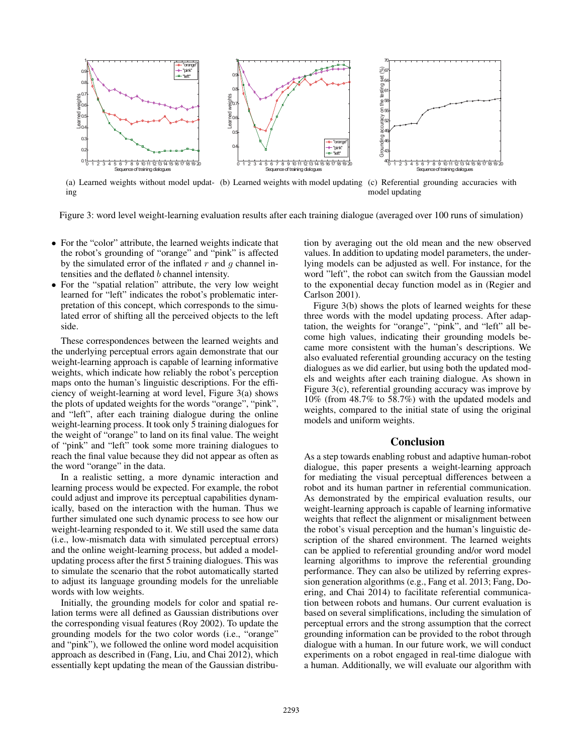

(a) Learned weights without model updat- (b) Learned weights with model updating (c) Referential grounding accuracies with ing model updating

Figure 3: word level weight-learning evaluation results after each training dialogue (averaged over 100 runs of simulation)

- For the "color" attribute, the learned weights indicate that the robot's grounding of "orange" and "pink" is affected by the simulated error of the inflated  $r$  and  $q$  channel intensities and the deflated b channel intensity.
- For the "spatial relation" attribute, the very low weight learned for "left" indicates the robot's problematic interpretation of this concept, which corresponds to the simulated error of shifting all the perceived objects to the left side.

These correspondences between the learned weights and the underlying perceptual errors again demonstrate that our weight-learning approach is capable of learning informative weights, which indicate how reliably the robot's perception maps onto the human's linguistic descriptions. For the efficiency of weight-learning at word level, Figure 3(a) shows the plots of updated weights for the words "orange", "pink", and "left", after each training dialogue during the online weight-learning process. It took only 5 training dialogues for the weight of "orange" to land on its final value. The weight of "pink" and "left" took some more training dialogues to reach the final value because they did not appear as often as the word "orange" in the data.

In a realistic setting, a more dynamic interaction and learning process would be expected. For example, the robot could adjust and improve its perceptual capabilities dynamically, based on the interaction with the human. Thus we further simulated one such dynamic process to see how our weight-learning responded to it. We still used the same data (i.e., low-mismatch data with simulated perceptual errors) and the online weight-learning process, but added a modelupdating process after the first 5 training dialogues. This was to simulate the scenario that the robot automatically started to adjust its language grounding models for the unreliable words with low weights.

Initially, the grounding models for color and spatial relation terms were all defined as Gaussian distributions over the corresponding visual features (Roy 2002). To update the grounding models for the two color words (i.e., "orange" and "pink"), we followed the online word model acquisition approach as described in (Fang, Liu, and Chai 2012), which essentially kept updating the mean of the Gaussian distribution by averaging out the old mean and the new observed values. In addition to updating model parameters, the underlying models can be adjusted as well. For instance, for the word "left", the robot can switch from the Gaussian model to the exponential decay function model as in (Regier and Carlson 2001).

Figure 3(b) shows the plots of learned weights for these three words with the model updating process. After adaptation, the weights for "orange", "pink", and "left" all become high values, indicating their grounding models became more consistent with the human's descriptions. We also evaluated referential grounding accuracy on the testing dialogues as we did earlier, but using both the updated models and weights after each training dialogue. As shown in Figure 3(c), referential grounding accuracy was improve by 10% (from 48.7% to 58.7%) with the updated models and weights, compared to the initial state of using the original models and uniform weights.

## Conclusion

As a step towards enabling robust and adaptive human-robot dialogue, this paper presents a weight-learning approach for mediating the visual perceptual differences between a robot and its human partner in referential communication. As demonstrated by the empirical evaluation results, our weight-learning approach is capable of learning informative weights that reflect the alignment or misalignment between the robot's visual perception and the human's linguistic description of the shared environment. The learned weights can be applied to referential grounding and/or word model learning algorithms to improve the referential grounding performance. They can also be utilized by referring expression generation algorithms (e.g., Fang et al. 2013; Fang, Doering, and Chai 2014) to facilitate referential communication between robots and humans. Our current evaluation is based on several simplifications, including the simulation of perceptual errors and the strong assumption that the correct grounding information can be provided to the robot through dialogue with a human. In our future work, we will conduct experiments on a robot engaged in real-time dialogue with a human. Additionally, we will evaluate our algorithm with